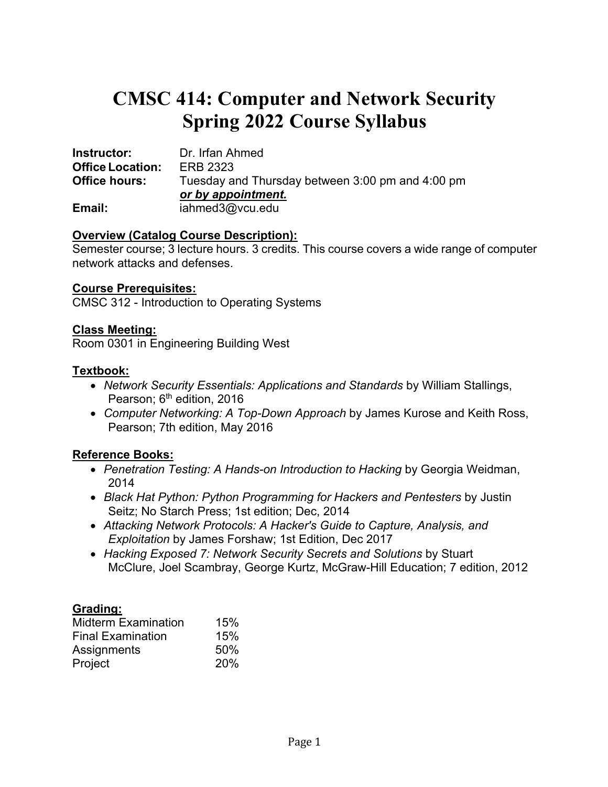# **CMSC 414: Computer and Network Security Spring 2022 Course Syllabus**

| Instructor:             | Dr. Irfan Ahmed                                  |
|-------------------------|--------------------------------------------------|
| <b>Office Location:</b> | ERB 2323                                         |
| <b>Office hours:</b>    | Tuesday and Thursday between 3:00 pm and 4:00 pm |
|                         | or by appointment.                               |
| Email:                  | iahmed3@vcu.edu                                  |

#### **Overview (Catalog Course Description):**

Semester course; 3 lecture hours. 3 credits. This course covers a wide range of computer network attacks and defenses.

#### **Course Prerequisites:**

CMSC 312 - Introduction to Operating Systems

### **Class Meeting:**

Room 0301 in Engineering Building West

### **Textbook:**

- *Network Security Essentials: Applications and Standards* by William Stallings, Pearson; 6<sup>th</sup> edition, 2016
- *Computer Networking: A Top-Down Approach* by James Kurose and Keith Ross, Pearson; 7th edition, May 2016

## **Reference Books:**

- *Penetration Testing: A Hands-on Introduction to Hacking* by Georgia Weidman, 2014
- *Black Hat Python: Python Programming for Hackers and Pentesters* by Justin Seitz; No Starch Press; 1st edition; Dec, 2014
- *Attacking Network Protocols: A Hacker's Guide to Capture, Analysis, and Exploitation* by James Forshaw; 1st Edition, Dec 2017
- *Hacking Exposed 7: Network Security Secrets and Solutions* by Stuart McClure, Joel Scambray, George Kurtz, McGraw-Hill Education; 7 edition, 2012

## **Grading:**

| <b>Midterm Examination</b> | 15% |
|----------------------------|-----|
| <b>Final Examination</b>   | 15% |
| Assignments                | 50% |
| Project                    | 20% |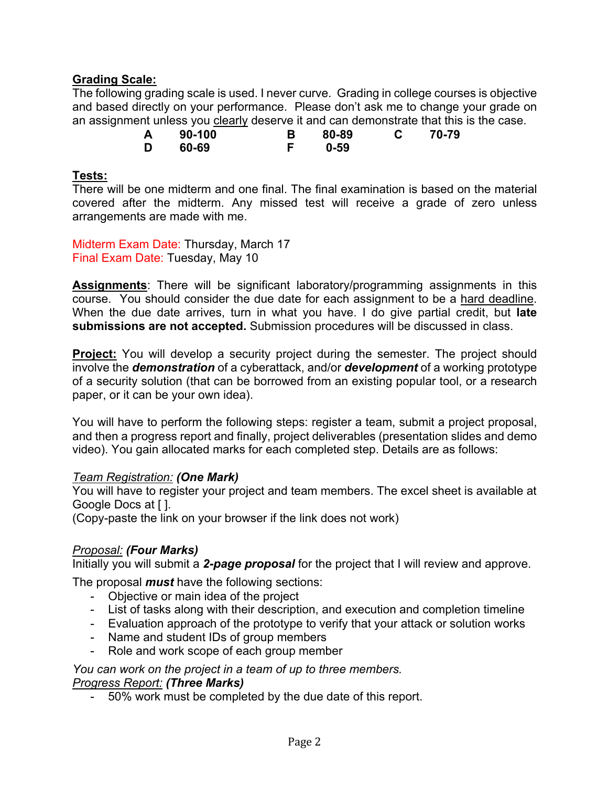## **Grading Scale:**

The following grading scale is used. I never curve. Grading in college courses is objective and based directly on your performance. Please don't ask me to change your grade on an assignment unless you clearly deserve it and can demonstrate that this is the case.

| A | 90-100 | 80-89 | 70-79 |
|---|--------|-------|-------|
| D | 60-69  | 0-59  |       |

#### **Tests:**

There will be one midterm and one final. The final examination is based on the material covered after the midterm. Any missed test will receive a grade of zero unless arrangements are made with me.

Midterm Exam Date: Thursday, March 17 Final Exam Date: Tuesday, May 10

**Assignments**: There will be significant laboratory/programming assignments in this course. You should consider the due date for each assignment to be a hard deadline. When the due date arrives, turn in what you have. I do give partial credit, but **late submissions are not accepted.** Submission procedures will be discussed in class.

**Project:** You will develop a security project during the semester. The project should involve the *demonstration* of a cyberattack, and/or *development* of a working prototype of a security solution (that can be borrowed from an existing popular tool, or a research paper, or it can be your own idea).

You will have to perform the following steps: register a team, submit a project proposal, and then a progress report and finally, project deliverables (presentation slides and demo video). You gain allocated marks for each completed step. Details are as follows:

#### *Team Registration: (One Mark)*

You will have to register your project and team members. The excel sheet is available at Google Docs at [ ].

(Copy-paste the link on your browser if the link does not work)

## *Proposal: (Four Marks)*

Initially you will submit a *2-page proposal* for the project that I will review and approve.

The proposal *must* have the following sections:

- Objective or main idea of the project
- List of tasks along with their description, and execution and completion timeline
- Evaluation approach of the prototype to verify that your attack or solution works
- Name and student IDs of group members
- Role and work scope of each group member

*You can work on the project in a team of up to three members.*

#### *Progress Report: (Three Marks)*

- 50% work must be completed by the due date of this report.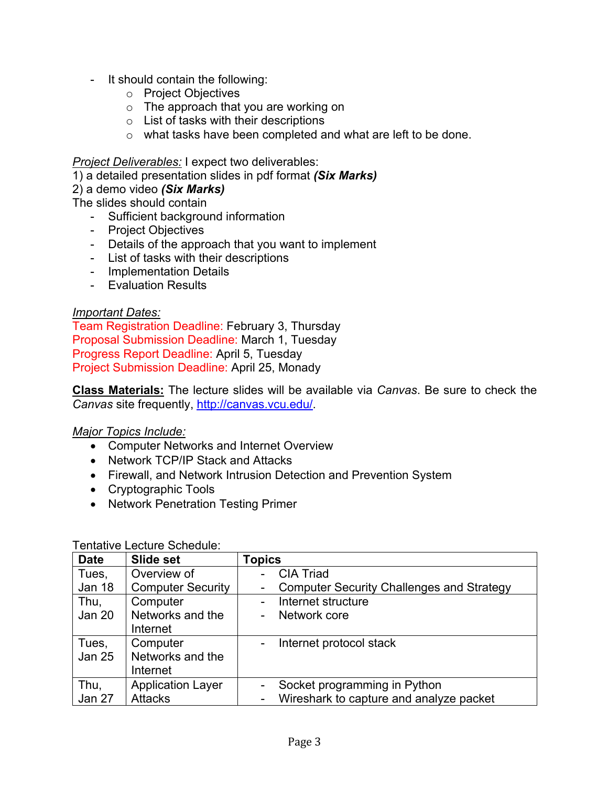- It should contain the following:
	- o Project Objectives
	- o The approach that you are working on
	- o List of tasks with their descriptions
	- o what tasks have been completed and what are left to be done.

*Project Deliverables:* I expect two deliverables:

1) a detailed presentation slides in pdf format *(Six Marks)*

2) a demo video *(Six Marks)*

The slides should contain

- Sufficient background information
- Project Objectives
- Details of the approach that you want to implement
- List of tasks with their descriptions
- Implementation Details
- Evaluation Results

#### *Important Dates:*

Team Registration Deadline: February 3, Thursday Proposal Submission Deadline: March 1, Tuesday Progress Report Deadline: April 5, Tuesday Project Submission Deadline: April 25, Monady

**Class Materials:** The lecture slides will be available via *Canvas*. Be sure to check the *Canvas* site frequently, http://canvas.vcu.edu/.

#### *Major Topics Include:*

- Computer Networks and Internet Overview
- Network TCP/IP Stack and Attacks
- Firewall, and Network Intrusion Detection and Prevention System
- Cryptographic Tools
- Network Penetration Testing Primer

| <b>Date</b>   | Slide set                | <b>Topics</b>                                         |
|---------------|--------------------------|-------------------------------------------------------|
| Tues,         | Overview of              | <b>CIA Triad</b>                                      |
| Jan 18        | <b>Computer Security</b> | <b>Computer Security Challenges and Strategy</b><br>- |
| Thu,          | Computer                 | Internet structure                                    |
| <b>Jan 20</b> | Networks and the         | Network core                                          |
|               | Internet                 |                                                       |
| Tues,         | Computer                 | Internet protocol stack                               |
| <b>Jan 25</b> | Networks and the         |                                                       |
|               | Internet                 |                                                       |
| Thu,          | <b>Application Layer</b> | Socket programming in Python                          |
| Jan 27        | <b>Attacks</b>           | Wireshark to capture and analyze packet<br>-          |

#### Tentative Lecture Schedule: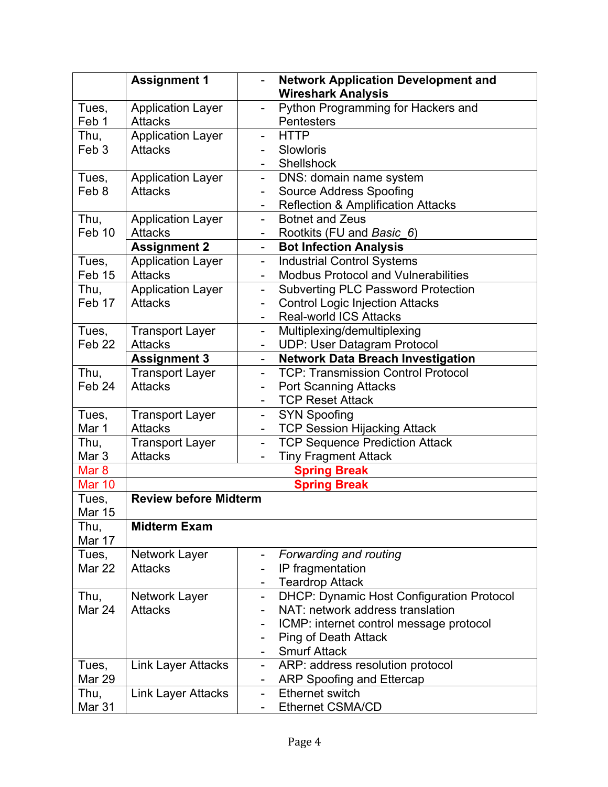|                   | <b>Assignment 1</b>          | <b>Network Application Development and</b><br><b>Wireshark Analysis</b>   |
|-------------------|------------------------------|---------------------------------------------------------------------------|
| Tues,             | <b>Application Layer</b>     | Python Programming for Hackers and<br>$\overline{\phantom{a}}$            |
| Feb 1             | <b>Attacks</b>               | Pentesters                                                                |
| Thu,              | <b>Application Layer</b>     | <b>HTTP</b>                                                               |
| Feb <sub>3</sub>  | <b>Attacks</b>               | Slowloris                                                                 |
|                   |                              | Shellshock                                                                |
| Tues,             | <b>Application Layer</b>     | DNS: domain name system<br>$\qquad \qquad \blacksquare$                   |
| Feb 8             | <b>Attacks</b>               | <b>Source Address Spoofing</b><br>$\overline{\phantom{a}}$                |
|                   |                              | <b>Reflection &amp; Amplification Attacks</b><br>$\overline{\phantom{a}}$ |
| Thu,              | <b>Application Layer</b>     | <b>Botnet and Zeus</b><br>$\blacksquare$                                  |
| Feb 10            | <b>Attacks</b>               | Rootkits (FU and Basic 6)                                                 |
|                   | <b>Assignment 2</b>          | <b>Bot Infection Analysis</b><br>$\blacksquare$                           |
| Tues,             | <b>Application Layer</b>     | <b>Industrial Control Systems</b><br>$\overline{\phantom{a}}$             |
| Feb 15            | <b>Attacks</b>               | <b>Modbus Protocol and Vulnerabilities</b>                                |
| Thu,              | <b>Application Layer</b>     | <b>Subverting PLC Password Protection</b><br>$\overline{\phantom{a}}$     |
| Feb 17            | <b>Attacks</b>               | <b>Control Logic Injection Attacks</b>                                    |
|                   |                              | <b>Real-world ICS Attacks</b>                                             |
| Tues,             | <b>Transport Layer</b>       | Multiplexing/demultiplexing<br>$\qquad \qquad \blacksquare$               |
| Feb <sub>22</sub> | <b>Attacks</b>               | <b>UDP: User Datagram Protocol</b><br>$\blacksquare$                      |
|                   | <b>Assignment 3</b>          | <b>Network Data Breach Investigation</b><br>$\blacksquare$                |
| Thu,              | <b>Transport Layer</b>       | <b>TCP: Transmission Control Protocol</b>                                 |
| Feb <sub>24</sub> | <b>Attacks</b>               | <b>Port Scanning Attacks</b>                                              |
|                   |                              | <b>TCP Reset Attack</b>                                                   |
| Tues,             | <b>Transport Layer</b>       | <b>SYN Spoofing</b><br>$\blacksquare$                                     |
| Mar 1             | <b>Attacks</b>               | <b>TCP Session Hijacking Attack</b>                                       |
| Thu,              | <b>Transport Layer</b>       | <b>TCP Sequence Prediction Attack</b><br>$\qquad \qquad \blacksquare$     |
| Mar <sub>3</sub>  | <b>Attacks</b>               | <b>Tiny Fragment Attack</b><br>$\overline{\phantom{a}}$                   |
| Mar <sub>8</sub>  |                              | <b>Spring Break</b>                                                       |
| <b>Mar 10</b>     |                              | <b>Spring Break</b>                                                       |
| Tues,             | <b>Review before Midterm</b> |                                                                           |
| <b>Mar 15</b>     |                              |                                                                           |
| Thu,<br>Mar 17    | <b>Midterm Exam</b>          |                                                                           |
| Tues,             | Network Layer                | Forwarding and routing<br>$\overline{\phantom{a}}$                        |
| Mar 22            | <b>Attacks</b>               | IP fragmentation                                                          |
|                   |                              | <b>Teardrop Attack</b>                                                    |
| Thu,              | Network Layer                | DHCP: Dynamic Host Configuration Protocol<br>$\blacksquare$               |
| Mar 24            | <b>Attacks</b>               | NAT: network address translation                                          |
|                   |                              | ICMP: internet control message protocol                                   |
|                   |                              | <b>Ping of Death Attack</b><br>$\overline{\phantom{a}}$                   |
|                   |                              | <b>Smurf Attack</b><br>$\blacksquare$                                     |
| Tues,             | <b>Link Layer Attacks</b>    | ARP: address resolution protocol<br>$\blacksquare$                        |
| Mar 29            |                              | ARP Spoofing and Ettercap                                                 |
| Thu,              | <b>Link Layer Attacks</b>    | <b>Ethernet switch</b><br>$\overline{\phantom{a}}$                        |
| Mar 31            |                              | <b>Ethernet CSMA/CD</b>                                                   |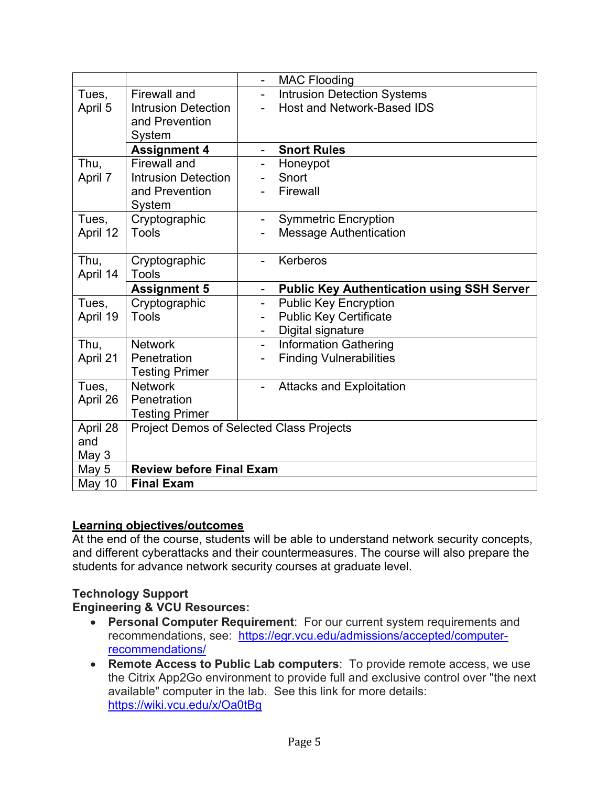|          |                                 | <b>MAC Flooding</b>                                      |
|----------|---------------------------------|----------------------------------------------------------|
| Tues,    | Firewall and                    | <b>Intrusion Detection Systems</b><br>$\overline{a}$     |
| April 5  | <b>Intrusion Detection</b>      | Host and Network-Based IDS                               |
|          | and Prevention                  |                                                          |
|          | System                          |                                                          |
|          | <b>Assignment 4</b>             | <b>Snort Rules</b>                                       |
| Thu,     | <b>Firewall and</b>             | Honeypot                                                 |
| April 7  | <b>Intrusion Detection</b>      | Snort                                                    |
|          | and Prevention                  | Firewall                                                 |
|          | System                          |                                                          |
| Tues,    | Cryptographic                   | <b>Symmetric Encryption</b><br>$\overline{\phantom{0}}$  |
| April 12 | Tools                           | <b>Message Authentication</b>                            |
|          |                                 |                                                          |
| Thu,     | Cryptographic                   | Kerberos                                                 |
| April 14 | Tools                           |                                                          |
|          | <b>Assignment 5</b>             | <b>Public Key Authentication using SSH Server</b>        |
| Tues,    | Cryptographic                   | <b>Public Key Encryption</b><br>$\overline{\phantom{0}}$ |
| April 19 | Tools                           |                                                          |
|          |                                 | <b>Public Key Certificate</b>                            |
|          |                                 | Digital signature                                        |
| Thu,     | <b>Network</b>                  | <b>Information Gathering</b><br>$\blacksquare$           |
| April 21 | Penetration                     | <b>Finding Vulnerabilities</b>                           |
|          | <b>Testing Primer</b>           |                                                          |
| Tues,    | <b>Network</b>                  | <b>Attacks and Exploitation</b>                          |
| April 26 | Penetration                     |                                                          |
|          | <b>Testing Primer</b>           |                                                          |
| April 28 |                                 | <b>Project Demos of Selected Class Projects</b>          |
| and      |                                 |                                                          |
| May 3    |                                 |                                                          |
| May 5    | <b>Review before Final Exam</b> |                                                          |

## **Learning objectives/outcomes**

At the end of the course, students will be able to understand network security concepts, and different cyberattacks and their countermeasures. The course will also prepare the students for advance network security courses at graduate level.

## **Technology Support**

#### **Engineering & VCU Resources:**

- **Personal Computer Requirement**: For our current system requirements and recommendations, see: https://egr.vcu.edu/admissions/accepted/computerrecommendations/
- **Remote Access to Public Lab computers**: To provide remote access, we use the Citrix App2Go environment to provide full and exclusive control over "the next available" computer in the lab. See this link for more details: https://wiki.vcu.edu/x/Oa0tBg